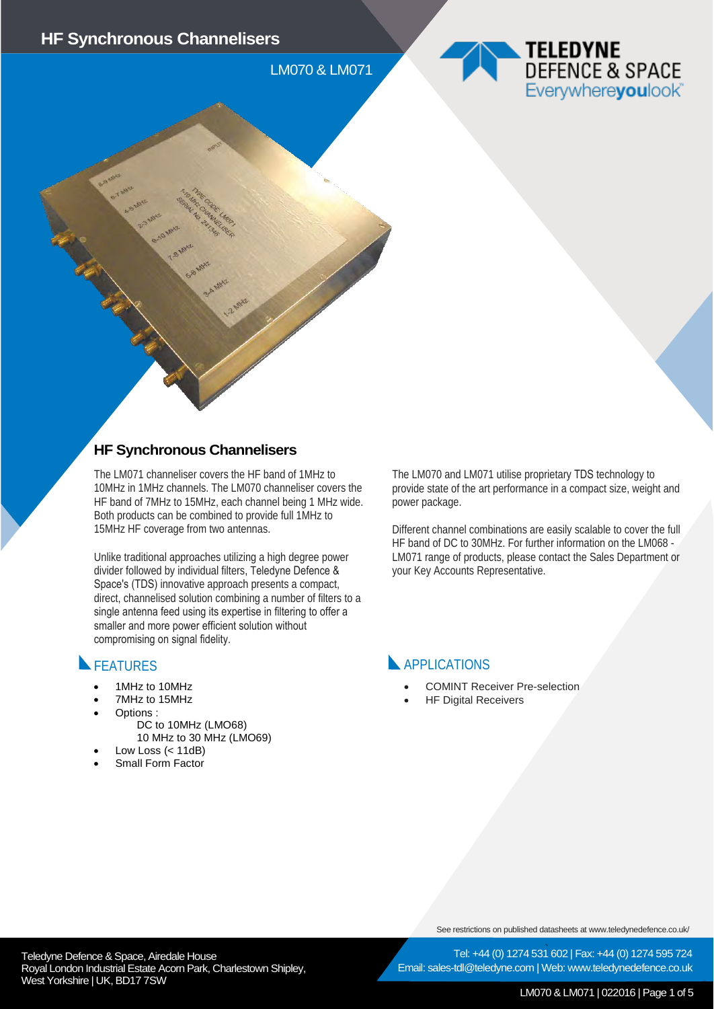LM070 & LM071



#### **HF Synchronous Channelisers**

The LM071 channeliser covers the HF band of 1MHz to 10MHz in 1MHz channels. The LM070 channeliser covers the HF band of 7MHz to 15MHz, each channel being 1 MHz wide. Both products can be combined to provide full 1MHz to 15MHz HF coverage from two antennas.

Unlike traditional approaches utilizing a high degree power divider followed by individual filters, Teledyne Defence & Space's (TDS) innovative approach presents a compact, direct, channelised solution combining a number of filters to a single antenna feed using its expertise in filtering to offer a smaller and more power efficient solution without compromising on signal fidelity.

## FEATURES

- 1MHz to 10MHz
- 7MHz to 15MHz
- Options :
	- DC to 10MHz (LMO68) 10 MHz to 30 MHz (LMO69)
	-
- Low Loss  $( $11dB$ )$ • Small Form Factor

The LM070 and LM071 utilise proprietary TDS technology to provide state of the art performance in a compact size, weight and power package.

Different channel combinations are easily scalable to cover the full HF band of DC to 30MHz. For further information on the LM068 - LM071 range of products, please contact the Sales Department or your Key Accounts Representative.

## **APPLICATIONS**

- COMINT Receiver Pre-selection
- **HF Digital Receivers**

See restrictions on published datasheets at www.teledynedefence.co.uk/

Teledyne Defence & Space, Airedale House and the state of the state of the Tel: +44 (0) 1274 531 Royal London Industrial Estate Acorn Park, Charlestown Shipley, West Yorkshire | UK, BD17 7SW

Tel: +44 (0) 1274 531 602 | Fax: +44 (0) 1274 595 724 Email: sales-tdl@teledyne.com | Web: www.teledynedefence.co.uk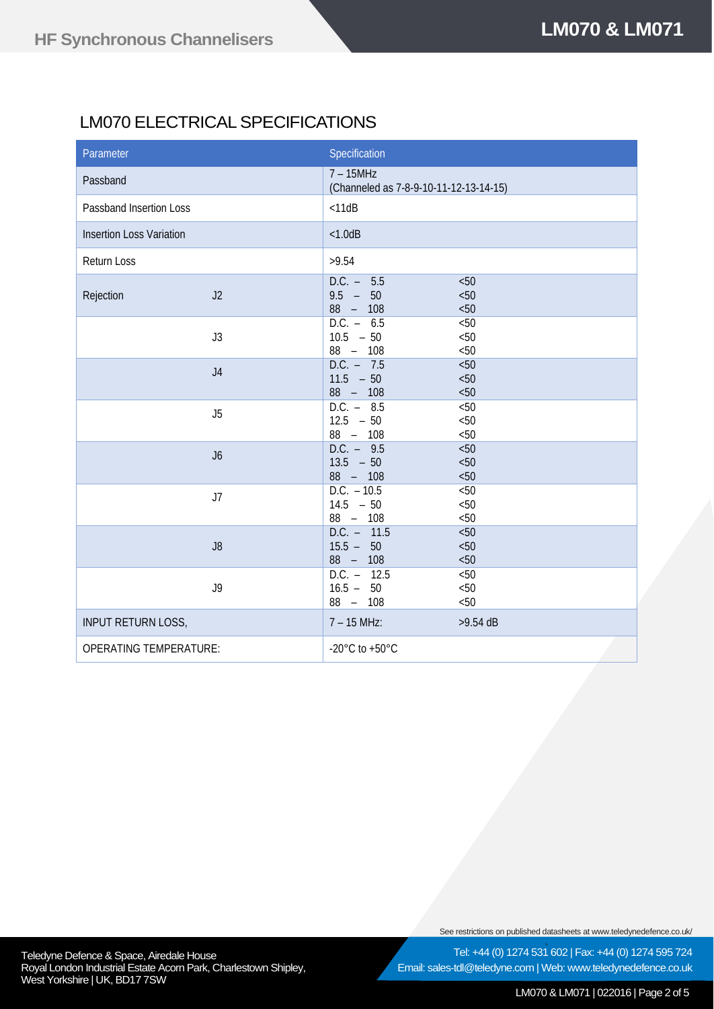# LM070 ELECTRICAL SPECIFICATIONS

| Parameter                       |                | Specification                                         |                             |
|---------------------------------|----------------|-------------------------------------------------------|-----------------------------|
| Passband                        |                | $7 - 15MHz$<br>(Channeled as 7-8-9-10-11-12-13-14-15) |                             |
| Passband Insertion Loss         |                | $<$ 11dB                                              |                             |
| <b>Insertion Loss Variation</b> |                | < 1.0dB                                               |                             |
| <b>Return Loss</b>              |                | >9.54                                                 |                             |
| Rejection                       | J2             | $D.C. - 5.5$<br>$9.5 - 50$<br>$88 - 108$              | < 50<br>< 50<br>< 50        |
|                                 | J3             | $D.C. - 6.5$<br>$10.5 - 50$<br>88 - 108               | < 50<br>< 50<br>< 50        |
|                                 | J <sub>4</sub> | $D.C. - 7.5$<br>$11.5 - 50$<br>88 - 108               | < 50<br>< 50<br>< 50        |
|                                 | J5             | $D.C. - 8.5$<br>$12.5 - 50$<br>88 - 108               | < 50<br>< 50<br>< 50        |
|                                 | J6             | $D.C. - 9.5$<br>$13.5 - 50$<br>88 - 108               | < 50<br>< 50<br>< 50        |
|                                 | J7             | $D.C. - 10.5$<br>$14.5 - 50$<br>88 - 108              | < 50<br>< 50<br>< 50        |
|                                 | J8             | $D.C. - 11.5$<br>$15.5 - 50$<br>88 - 108              | < 50<br>< 50<br>< 50        |
|                                 | J9             | $D.C. - 12.5$<br>$16.5 - 50$<br>88 - 108              | $< 50$<br>$<\!\!50$<br>< 50 |
| <b>INPUT RETURN LOSS,</b>       |                | $7 - 15$ MHz:                                         | $>9.54$ dB                  |
| <b>OPERATING TEMPERATURE:</b>   |                | -20 $^{\circ}$ C to +50 $^{\circ}$ C                  |                             |

See restrictions on published datasheets at www.teledynedefence.co.uk/

Email: sales-tdl@teledyne.com | Web: www.teledynedefence.co.uk

Tel: +44 (0) 1274 531 602 | Fax: +44 (0) 1274 595 724

Teledyne Defence & Space, Airedale House and the state of the state of the Tel: +44 (0) 1274 531 Royal London Industrial Estate Acorn Park, Charlestown Shipley, West Yorkshire | UK, BD17 7SW

LM070 & LM071 | 022016 | Page 2 of 5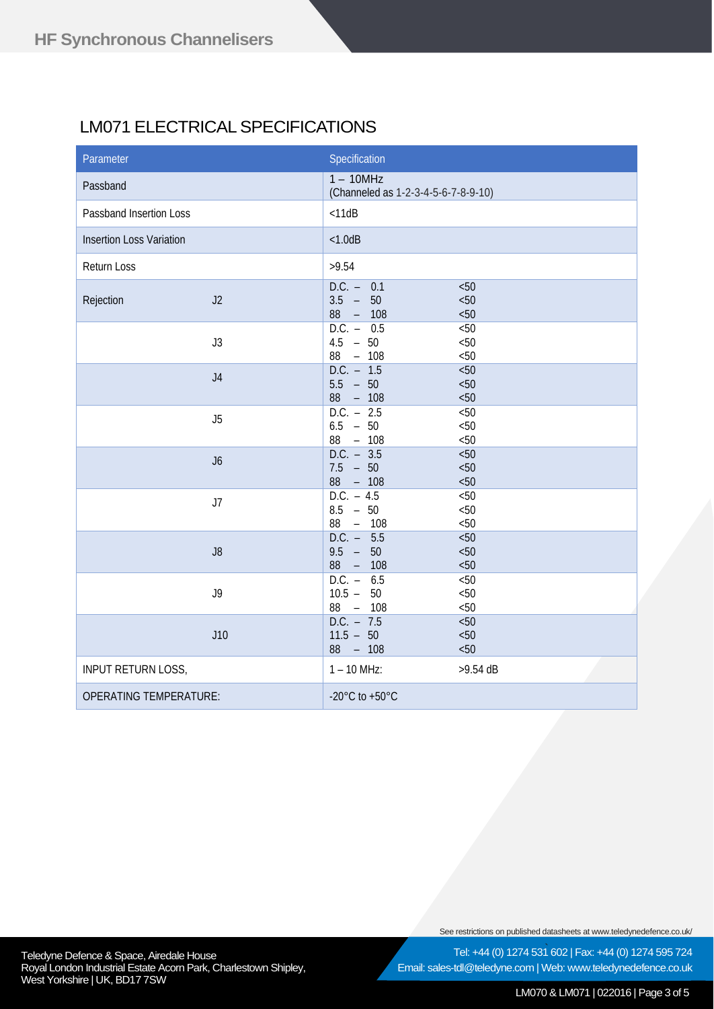# LM071 ELECTRICAL SPECIFICATIONS

| Parameter                       |                | Specification                                      |                       |
|---------------------------------|----------------|----------------------------------------------------|-----------------------|
| Passband                        |                | $1 - 10MHz$<br>(Channeled as 1-2-3-4-5-6-7-8-9-10) |                       |
| Passband Insertion Loss         |                | $<$ 11dB                                           |                       |
| <b>Insertion Loss Variation</b> |                | < 1.0dB                                            |                       |
| Return Loss                     |                | >9.54                                              |                       |
| Rejection                       | J2             | $D.C. - 0.1$<br>$3.5 -$<br>50<br>88<br>$- 108$     | < 50<br>< 50<br>< 50  |
|                                 | J3             | $D.C. - 0.5$<br>$4.5 - 50$<br>88<br>$- 108$        | $< 50$<br>< 50<br>&50 |
|                                 | J <sub>4</sub> | $D.C. - 1.5$<br>$5.5 - 50$<br>$88 - 108$           | 50<<br>< 50<br>< 50   |
|                                 | J5             | $D.C. - 2.5$<br>$6.5 - 50$<br>88 - 108             | < 50<br>< 50<br>&50   |
|                                 | J6             | $D.C. - 3.5$<br>$7.5 - 50$<br>$88 - 108$           | < 50<br>< 50<br>< 50  |
|                                 | J7             | $D.C. - 4.5$<br>$8.5 - 50$<br>88<br>$- 108$        | < 50<br>< 50<br>< 50  |
|                                 | J8             | $D.C. - 5.5$<br>$9.5 - 50$<br>$- 108$<br>88        | < 50<br>< 50<br>&50   |
|                                 | J9             | $D.C. - 6.5$<br>$10.5 - 50$<br>88 - 108            | < 50<br>< 50<br>< 50  |
|                                 | J10            | $D.C. - 7.5$<br>$11.5 - 50$<br>$88 - 108$          | $< 50$<br>< 50<br>&50 |
| <b>INPUT RETURN LOSS,</b>       |                | $1 - 10$ MHz:                                      | $>9.54$ dB            |
| <b>OPERATING TEMPERATURE:</b>   |                | -20 $^{\circ}$ C to +50 $^{\circ}$ C               |                       |

See restrictions on published datasheets at www.teledynedefence.co.uk/

Teledyne Defence & Space, Airedale House and the state of the state of the Tel: +44 (0) 1274 531 Royal London Industrial Estate Acorn Park, Charlestown Shipley, West Yorkshire | UK, BD17 7SW

Tel: +44 (0) 1274 531 602 | Fax: +44 (0) 1274 595 724 Email: sales-tdl@teledyne.com | Web: www.teledynedefence.co.uk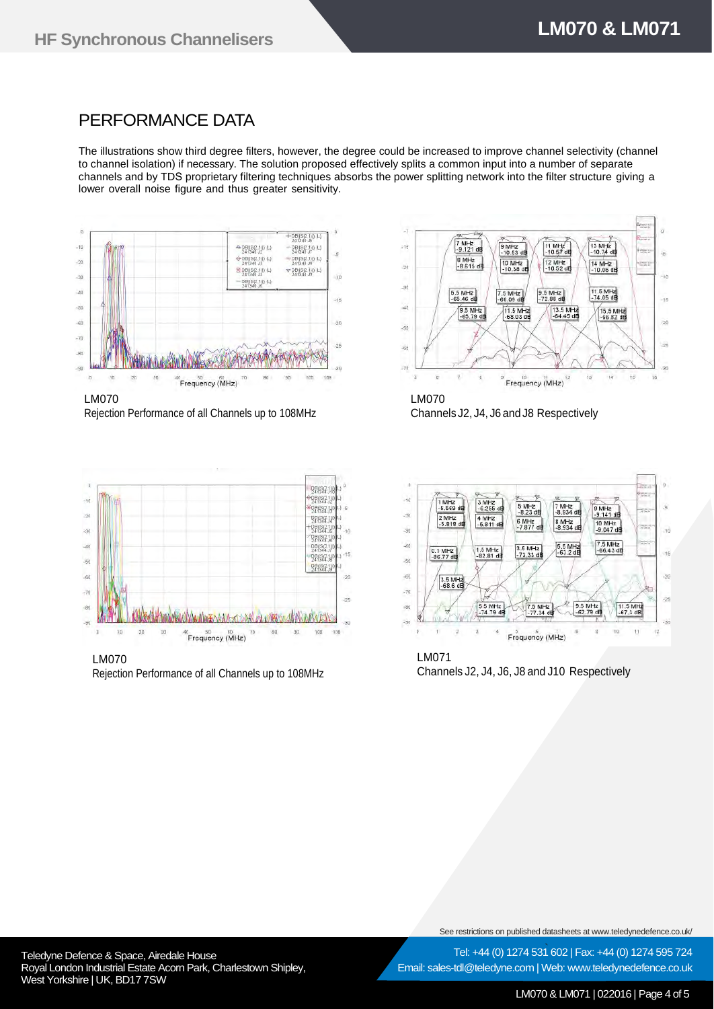## PERFORMANCE DATA

The illustrations show third degree filters, however, the degree could be increased to improve channel selectivity (channel to channel isolation) if necessary. The solution proposed effectively splits a common input into a number of separate channels and by TDS proprietary filtering techniques absorbs the power splitting network into the filter structure giving a lower overall noise figure and thus greater sensitivity.



LM070 Rejection Performance of all Channels up to 108MHz



LM070 Rejection Performance of all Channels up to 108MHz



Channels J2, J4, J6 and J8 Respectively



 $\mathbf{u}$  $43$ Frequency (MHz)

LM071 Channels J2, J4, J6, J8 and J10 Respectively

See restrictions on published datasheets at www.teledynedefence.co.uk/

Email: sales-tdl@teledyne.com | Web: www.teledynedefence.co.uk

Tel: +44 (0) 1274 531 602 | Fax: +44 (0) 1274 595 724

Teledyne Defence & Space, Airedale House and the state of the state of the Tel: +44 (0) 1274 531 Royal London Industrial Estate Acorn Park, Charlestown Shipley, West Yorkshire | UK, BD17 7SW

LM070 & LM071 | 022016 | Page 4 of 5